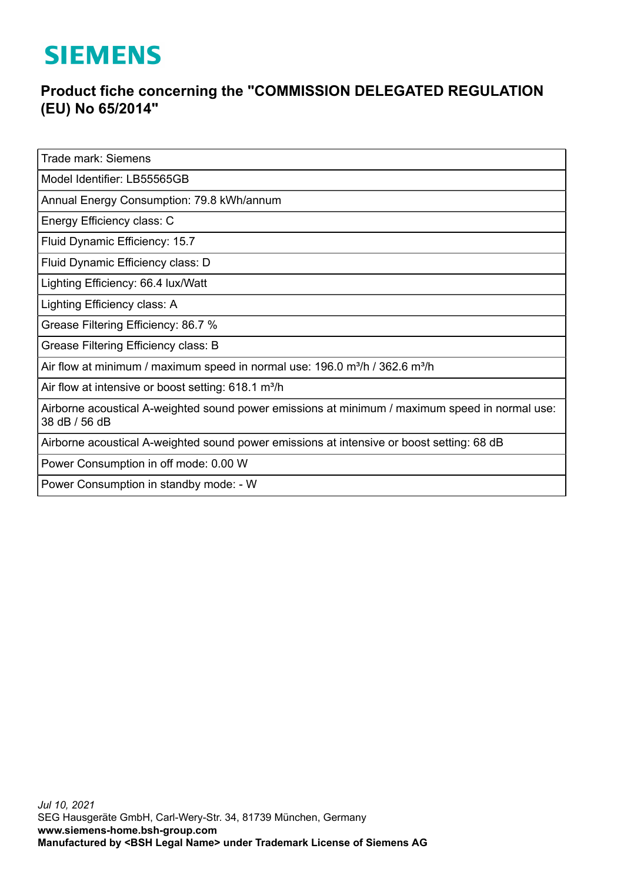## **SIEMENS**

## **Product fiche concerning the "COMMISSION DELEGATED REGULATION (EU) No 65/2014"**

Trade mark: Siemens

Model Identifier: LB55565GB

Annual Energy Consumption: 79.8 kWh/annum

Energy Efficiency class: C

Fluid Dynamic Efficiency: 15.7

Fluid Dynamic Efficiency class: D

Lighting Efficiency: 66.4 lux/Watt

Lighting Efficiency class: A

Grease Filtering Efficiency: 86.7 %

Grease Filtering Efficiency class: B

Air flow at minimum / maximum speed in normal use:  $196.0$  m<sup>3</sup>/h / 362.6 m<sup>3</sup>/h

Air flow at intensive or boost setting: 618.1 m<sup>3</sup>/h

Airborne acoustical A-weighted sound power emissions at minimum / maximum speed in normal use: 38 dB / 56 dB

Airborne acoustical A-weighted sound power emissions at intensive or boost setting: 68 dB

Power Consumption in off mode: 0.00 W

Power Consumption in standby mode: - W